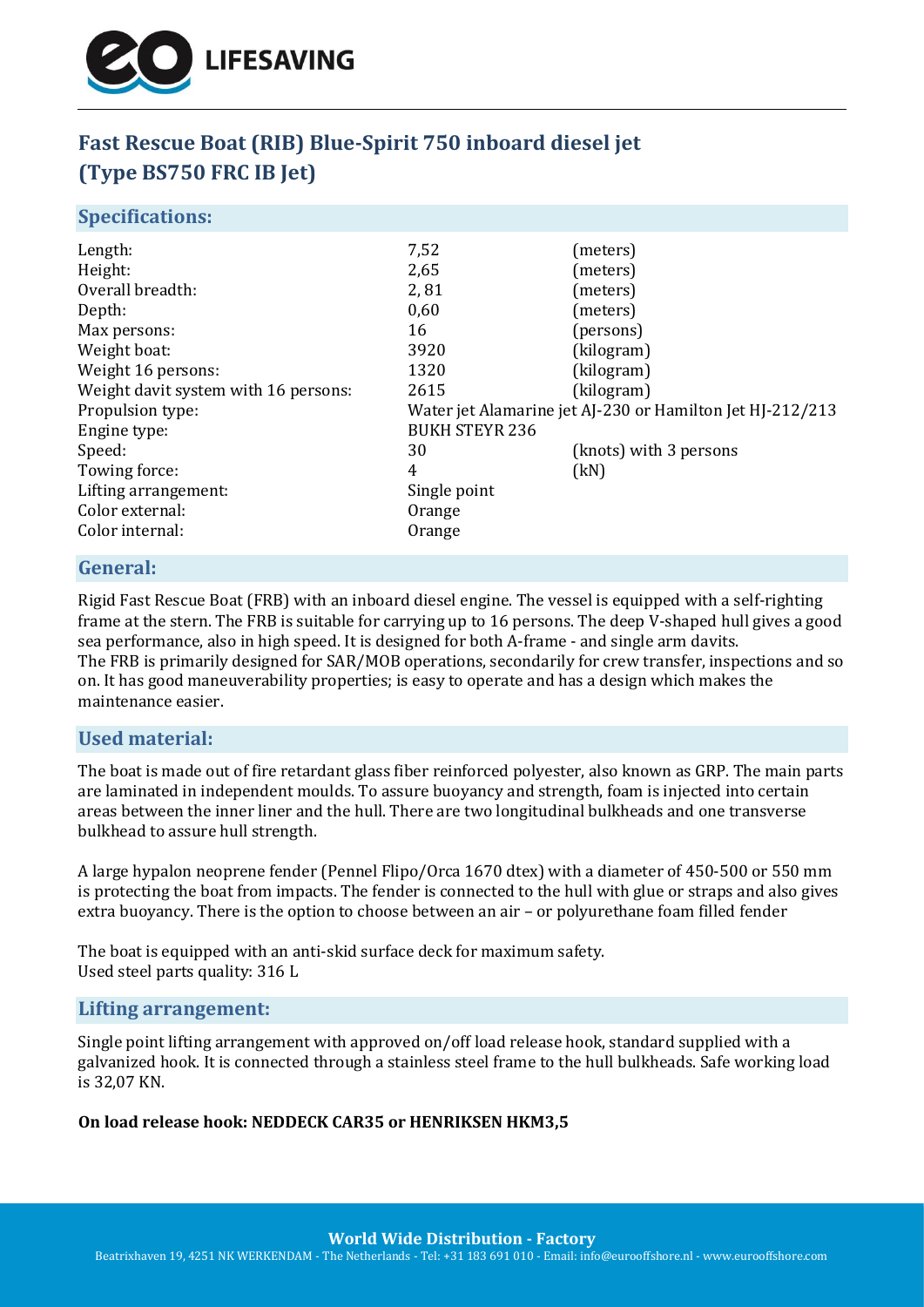

# **Fast Rescue Boat (RIB) Blue-Spirit 750 inboard diesel jet (Type BS750 FRC IB Jet)**

#### **Specifications:**

| Water jet Alamarine jet AJ-230 or Hamilton Jet HJ-212/213 |  |
|-----------------------------------------------------------|--|
| <b>BUKH STEYR 236</b>                                     |  |
|                                                           |  |
|                                                           |  |
|                                                           |  |
|                                                           |  |
|                                                           |  |
|                                                           |  |

## **General:**

Rigid Fast Rescue Boat (FRB) with an inboard diesel engine. The vessel is equipped with a self-righting frame at the stern. The FRB is suitable for carrying up to 16 persons. The deep V-shaped hull gives a good sea performance, also in high speed. It is designed for both A-frame - and single arm davits. The FRB is primarily designed for SAR/MOB operations, secondarily for crew transfer, inspections and so on. It has good maneuverability properties; is easy to operate and has a design which makes the maintenance easier.

# **Used material:**

The boat is made out of fire retardant glass fiber reinforced polyester, also known as GRP. The main parts are laminated in independent moulds. To assure buoyancy and strength, foam is injected into certain areas between the inner liner and the hull. There are two longitudinal bulkheads and one transverse bulkhead to assure hull strength.

A large hypalon neoprene fender (Pennel Flipo/Orca 1670 dtex) with a diameter of 450-500 or 550 mm is protecting the boat from impacts. The fender is connected to the hull with glue or straps and also gives extra buoyancy. There is the option to choose between an air – or polyurethane foam filled fender

The boat is equipped with an anti-skid surface deck for maximum safety. Used steel parts quality: 316 L

#### **Lifting arrangement:**

Single point lifting arrangement with approved on/off load release hook, standard supplied with a galvanized hook. It is connected through a stainless steel frame to the hull bulkheads. Safe working load is 32,07 KN.

#### **On load release hook: NEDDECK CAR35 or HENRIKSEN HKM3,5**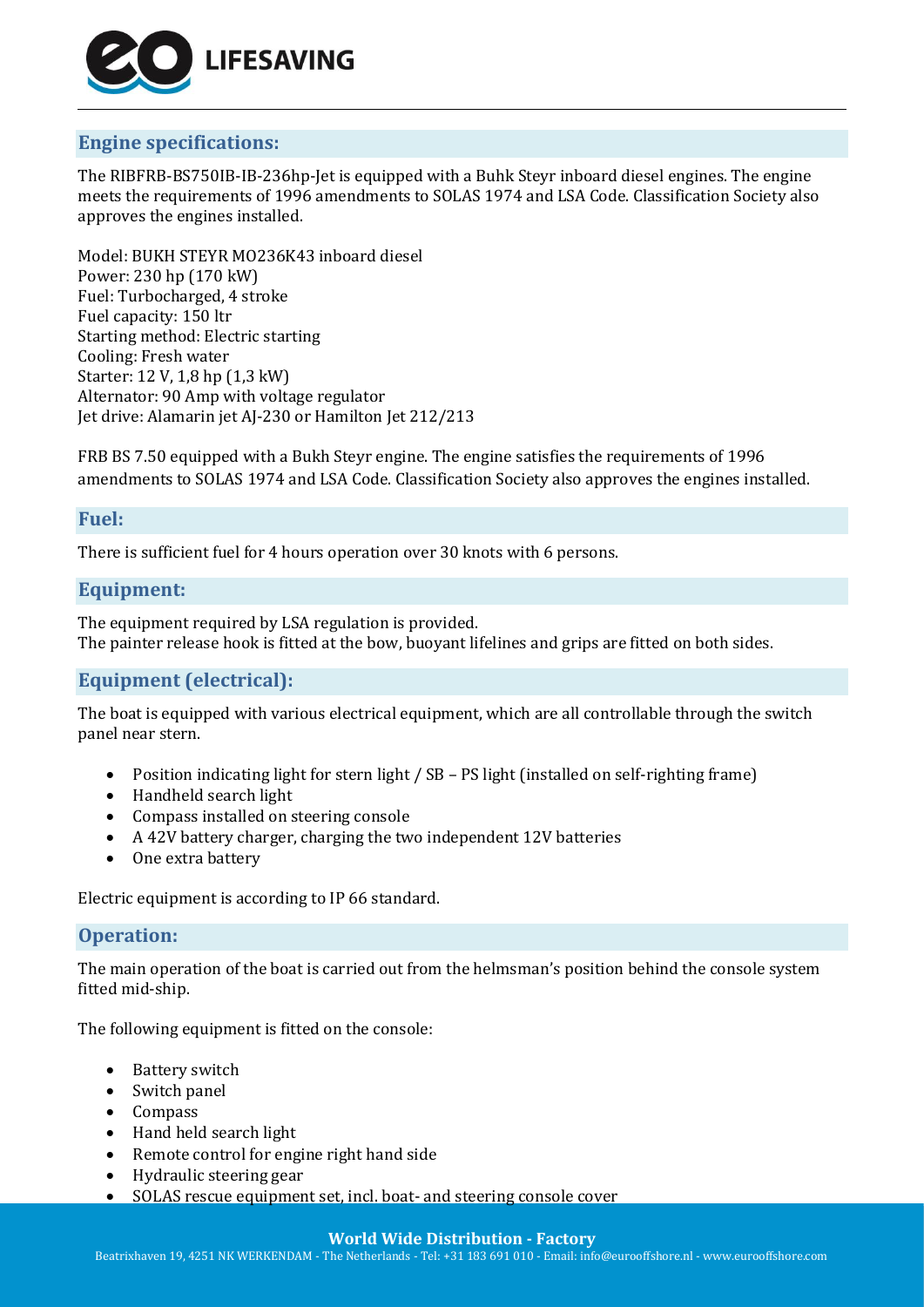

# **Engine specifications:**

The RIBFRB-BS750IB-IB-236hp-Jet is equipped with a Buhk Steyr inboard diesel engines. The engine meets the requirements of 1996 amendments to SOLAS 1974 and LSA Code. Classification Society also approves the engines installed.

Model: BUKH STEYR MO236K43 inboard diesel Power: 230 hp (170 kW) Fuel: Turbocharged, 4 stroke Fuel capacity: 150 ltr Starting method: Electric starting Cooling: Fresh water Starter: 12 V, 1,8 hp (1,3 kW) Alternator: 90 Amp with voltage regulator Jet drive: Alamarin jet AJ-230 or Hamilton Jet 212/213

FRB BS 7.50 equipped with a Bukh Steyr engine. The engine satisfies the requirements of 1996 amendments to SOLAS 1974 and LSA Code. Classification Society also approves the engines installed.

## **Fuel:**

There is sufficient fuel for 4 hours operation over 30 knots with 6 persons.

# **Equipment:**

The equipment required by LSA regulation is provided. The painter release hook is fitted at the bow, buoyant lifelines and grips are fitted on both sides.

# **Equipment (electrical):**

The boat is equipped with various electrical equipment, which are all controllable through the switch panel near stern.

- Position indicating light for stern light / SB PS light (installed on self-righting frame)
- Handheld search light
- Compass installed on steering console
- A 42V battery charger, charging the two independent 12V batteries
- One extra battery

Electric equipment is according to IP 66 standard.

#### **Operation:**

The main operation of the boat is carried out from the helmsman's position behind the console system fitted mid-ship.

The following equipment is fitted on the console:

- Battery switch
- Switch panel
- Compass
- Hand held search light
- Remote control for engine right hand side
- Hydraulic steering gear
- SOLAS rescue equipment set, incl. boat- and steering console cover

#### **World Wide Distribution - Factory**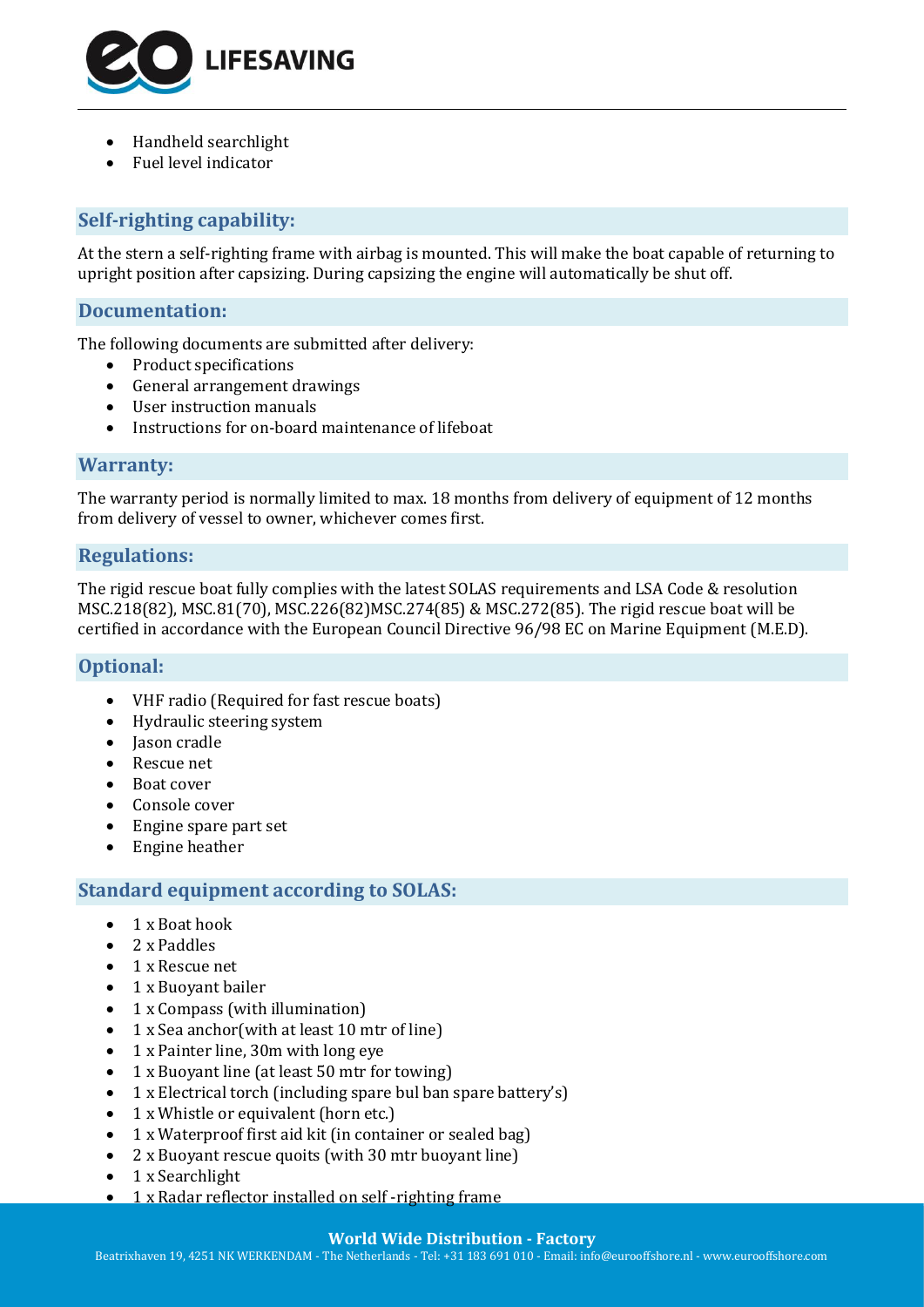

- Handheld searchlight
- Fuel level indicator

# **Self-righting capability:**

At the stern a self-righting frame with airbag is mounted. This will make the boat capable of returning to upright position after capsizing. During capsizing the engine will automatically be shut off.

## **Documentation:**

The following documents are submitted after delivery:

- Product specifications
- General arrangement drawings
- User instruction manuals
- Instructions for on-board maintenance of lifeboat

#### **Warranty:**

The warranty period is normally limited to max. 18 months from delivery of equipment of 12 months from delivery of vessel to owner, whichever comes first.

#### **Regulations:**

The rigid rescue boat fully complies with the latest SOLAS requirements and LSA Code & resolution MSC.218(82), MSC.81(70), MSC.226(82)MSC.274(85) & MSC.272(85). The rigid rescue boat will be certified in accordance with the European Council Directive 96/98 EC on Marine Equipment (M.E.D).

# **Optional:**

- VHF radio (Required for fast rescue boats)
- Hydraulic steering system
- Jason cradle
- Rescue net
- Boat cover
- Console cover
- Engine spare part set
- Engine heather

# **Standard equipment according to SOLAS:**

- 1 x Boat hook
- 2 x Paddles
- 1 x Rescue net
- 1 x Buoyant bailer
- 1 x Compass (with illumination)
- 1 x Sea anchor(with at least 10 mtr of line)
- 1 x Painter line, 30m with long eye
- 1 x Buoyant line (at least 50 mtr for towing)
- 1 x Electrical torch (including spare bul ban spare battery's)
- 1 x Whistle or equivalent (horn etc.)
- 1 x Waterproof first aid kit (in container or sealed bag)
- 2 x Buoyant rescue quoits (with 30 mtr buoyant line)
- 1 x Searchlight
- 1 x Radar reflector installed on self-righting frame

#### **World Wide Distribution - Factory**